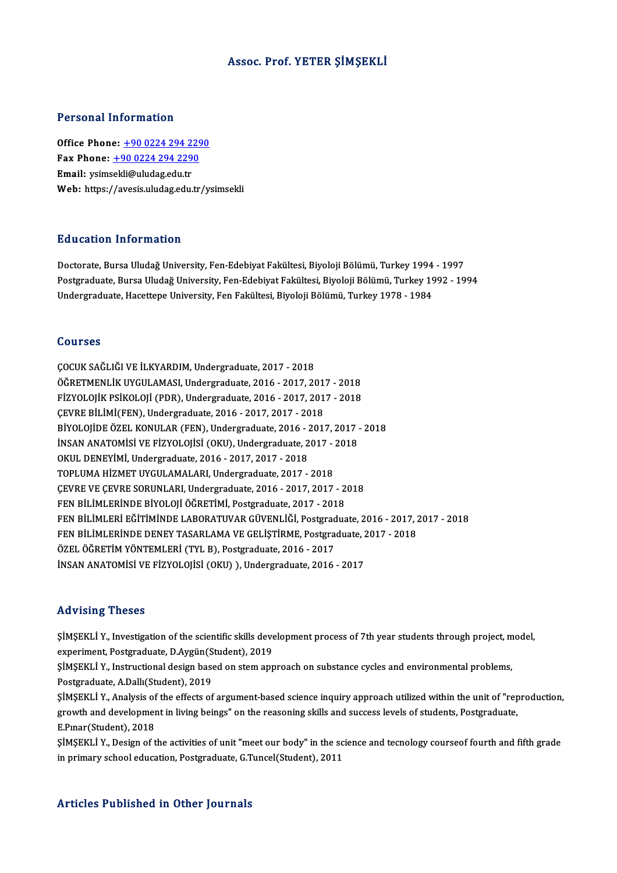#### Assoc. Prof. YETER ŞİMŞEKLİ

#### Personal Information

Office Phone: +90 0224 294 2290 Fax Phone: <u>+90 0224 294 229</u><br>Fax Phone: <u>+90 0224 294 2290</u><br>Fmail: veimeekli@uludes.edu.tr Office Phone: <u>+90 0224 294 2:</u><br>Fax Phone: <u>+90 0224 294 229</u><br>Email: ysim[sekli@uludag.edu.tr](tel:+90 0224 294 2290)<br>Web: https://avesis.uludag.edu.tr Email: ysimsekli@uludag.edu.tr<br>Web: https://avesis.uludag.edu.tr/ysimsekli

#### Education Information

**Education Information<br>Doctorate, Bursa Uludağ University, Fen-Edebiyat Fakültesi, Biyoloji Bölümü, Turkey 1994 - 1997<br>Bostanaduata Bursa Uludağ University, Fen-Edebiyat Fakültesi, Biyoloji Bölümü, Turkey 1992 - 19** Pu u cucron "Miro" mucron"<br>Doctorate, Bursa Uludağ University, Fen-Edebiyat Fakültesi, Biyoloji Bölümü, Turkey 1994 - 1997<br>Postgraduate, Bursa Uludağ University, Fen-Edebiyat Fakültesi, Biyoloji Bölümü, Turkey 1992 - 1994<br> Doctorate, Bursa Uludağ University, Fen-Edebiyat Fakültesi, Biyoloji Bölümü, Turkey 1994<br>Postgraduate, Bursa Uludağ University, Fen-Edebiyat Fakültesi, Biyoloji Bölümü, Turkey 19<br>Undergraduate, Hacettepe University, Fen Fa Undergraduate, Hacettepe University, Fen Fakültesi, Biyoloji Bölümü, Turkey 1978 - 1984<br>Courses

ÇOCUK SAĞLIĞI VE İLKYARDIM, Undergraduate, 2017 - 2018 ÖĞRETMENLİKUYGULAMASI,Undergraduate,2016 -2017,2017 -2018 ÇOCUK SAĞLIĞI VE İLKYARDIM, Undergraduate, 2017 - 2018<br>ÖĞRETMENLİK UYGULAMASI, Undergraduate, 2016 - 2017, 2017 - 2018<br>FİZYOLOJİK PSİKOLOJİ (PDR), Undergraduate, 2016 - 2017, 2017 - 2018<br>CEVPE PİLİM(EEN), Undergraduata, 20 ÖĞRETMENLİK UYGULAMASI, Undergraduate, 2016 - 2017, 201<br>FİZYOLOJİK PSİKOLOJİ (PDR), Undergraduate, 2016 - 2017, 201<br>ÇEVRE BİLİMİ(FEN), Undergraduate, 2016 - 2017, 2017 - 2018<br>PİYOLOJİDE ÖZEL KONULAR (FEN), Undergraduate, 2 FİZYOLOJİK PSİKOLOJİ (PDR), Undergraduate, 2016 - 2017, 2017 - 2018<br>ÇEVRE BİLİMİ(FEN), Undergraduate, 2016 - 2017, 2017 - 2018<br>BİYOLOJİDE ÖZEL KONULAR (FEN), Undergraduate, 2016 - 2017, 2017 - 2018<br>İNSAN ANATOMİSİ VE FİZYO ÇEVRE BİLİMİ(FEN), Undergraduate, 2016 - 2017, 2017 - 2018<br>BİYOLOJİDE ÖZEL KONULAR (FEN), Undergraduate, 2016 - 2017, 2017<br>İNSAN ANATOMİSİ VE FİZYOLOJİSİ (OKU), Undergraduate, 2017 - 2018<br>OKUL DENEVİMİ Undergraduate, 2016, OKUL DENEYİMİ, Undergraduate, 2016 - 2017, 2017 - 2018<br>TOPLUMA HİZMET UYGULAMALARI, Undergraduate, 2017 - 2018 INSAN ANATOMISI VE FIZYOLOJISI (OKU), Undergraduate, 2017 - 2018 ÇEVREVEÇEVRESORUNLARI,Undergraduate,2016 -2017,2017 -2018 FEN BİLİMLERİNDE BİYOLOJİ ÖĞRETİMİ, Postgraduate, 2017 - 2018 ÇEVRE VE ÇEVRE SORUNLARI, Undergraduate, 2016 - 2017, 2017 - 2018<br>FEN BİLİMLERİNDE BİYOLOJİ ÖĞRETİMİ, Postgraduate, 2017 - 2018<br>FEN BİLİMLERİ EĞİTİMİNDE LABORATUVAR GÜVENLİĞİ, Postgraduate, 2016 - 2017, 2017 - 2018<br>FEN BİL FEN BİLİMLERİNDE BİYOLOJİ ÖĞRETİMİ, Postgraduate, 2017 - 2018<br>FEN BİLİMLERİ EĞİTİMİNDE LABORATUVAR GÜVENLİĞİ, Postgraduate, 2016 - 2017, 2<br>FEN BİLİMLERİNDE DENEY TASARLAMA VE GELİŞTİRME, Postgraduate, 2017 - 2018<br>ÖZEL ÖĞRE ÖZEL ÖĞRETİM YÖNTEMLERİ (TYL B), Postgraduate, 2016 - 2017<br>İNSAN ANATOMİSİ VE FİZYOLOJİSİ (OKU) ), Undergraduate, 2016 - 2017 FEN BİLİMLERİNDE DENEY TASARLAMA VE GELİŞTİRME, Postgraduate, 2017 - 2018

#### Advising Theses

Advising Theses<br>ŞİMŞEKLİ Y., Investigation of the scientific skills development process of 7th year students through project, model,<br>syneriment, Restaneduste D.Avgün(Student), 2019. experiment, Presses<br>SiMSEKLI Y., Investigation of the scientific skills deve<br>experiment, Postgraduate, D.Aygün(Student), 2019<br>SiMSEKLI V., Instructional design based on stem and ŞİMŞEKLİ Y., Investigation of the scientific skills development process of 7th year students through project, m<br>experiment, Postgraduate, D.Aygün(Student), 2019<br>ŞİMŞEKLİ Y., Instructional design based on stem approach on s experiment, Postgraduate, D.Aygün(Student), 2019<br>ŞİMŞEKLİ Y., Instructional design based on stem approach on substance cycles and environmental problems,<br>Postgraduate, A.Dallı(Student), 2019 ŞİMŞEKLİ Y., Instructional design based on stem approach on substance cycles and environmental problems,<br>Postgraduate, A.Dallı(Student), 2019<br>ŞİMŞEKLİ Y., Analysis of the effects of argument-based science inquiry approach Postgraduate, A.Dallı(Student), 2019<br>ŞİMŞEKLİ Y., Analysis of the effects of argument-based science inquiry approach utilized within the unit of "rep<br>growth and development in living beings" on the reasoning skills and suc SİMSEKLİ Y., Analysis of<br>growth and developmer<br>E.Pınar(Student), 2018<br>SİMSEKLİ Y., Dosian of t growth and development in living beings" on the reasoning skills and success levels of students, Postgraduate,<br>E.Pınar(Student), 2018<br>ŞİMŞEKLİ Y., Design of the activities of unit "meet our body" in the science and tecnolo

E.Pmar(Student), 2018<br>ŞİMŞEKLİ Y., Design of the activities of unit "meet our body" in the sc:<br>in primary school education, Postgraduate, G.Tuncel(Student), 2011 in primary school education, Postgraduate, G.Tuncel(Student), 2011<br>Articles Published in Other Journals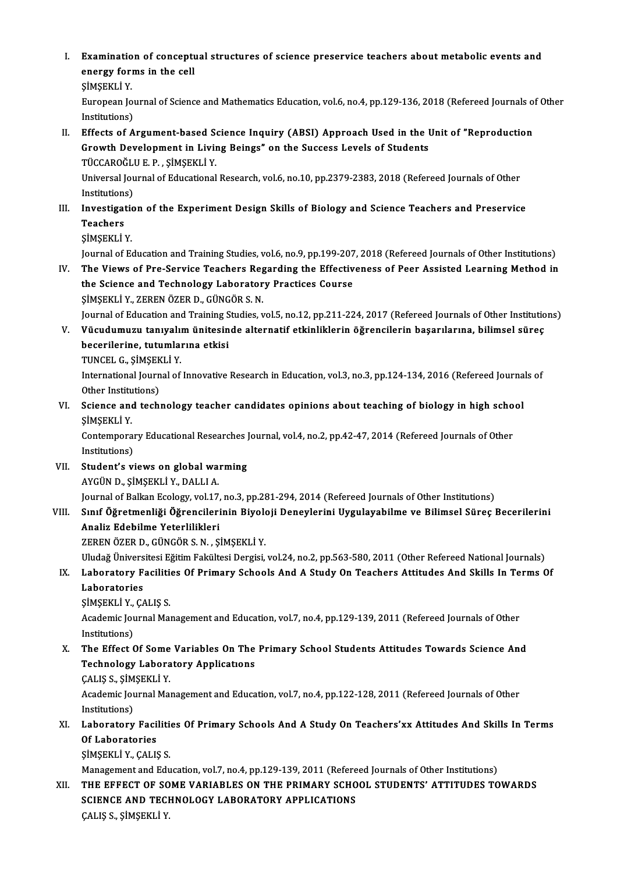I. Examination of conceptual structures of science preservice teachers about metabolic events and<br>energy forms in the sell Examination of concept<br>energy forms in the cell<br>siMSEVI i V Examinatio<br>energy for:<br>ŞİMŞEKLİ Y.<br>Euronean le energy forms in the cell<br>ŞİMŞEKLİ Y.<br>European Journal of Science and Mathematics Education, vol.6, no.4, pp.129-136, 2018 (Refereed Journals of Other SİMSEKLİ Y.<br>European Jou<br>Institutions)<br>Effects of A European Journal of Science and Mathematics Education, vol.6, no.4, pp.129-136, 2018 (Refereed Journals of Institutions)<br>II. Effects of Argument-based Science Inquiry (ABSI) Approach Used in the Unit of "Reproduction<br>Crowt Institutions)<br>Effects of Argument-based Science Inquiry (ABSI) Approach Used in the I<br>Growth Development in Living Beings" on the Success Levels of Students<br>TÜCCAPOČULE P. SİMSEKLİ V Growth Development in Living Beings" on the Success Levels of Students TÜCCAROĞLU E. P., SİMŞEKLİ Y. Growth Development in Living Beings" on the Success Levels of Students<br>TÜCCAROĞLU E. P. , ŞİMŞEKLİ Y.<br>Universal Journal of Educational Research, vol.6, no.10, pp.2379-2383, 2018 (Refereed Journals of Other<br>Institutions) TÜCCAROĞLI<br>Universal Jou<br>Institutions)<br>Investisatio Universal Journal of Educational Research, vol.6, no.10, pp.2379-2383, 2018 (Refereed Journals of Other<br>Institutions)<br>III. Investigation of the Experiment Design Skills of Biology and Science Teachers and Preservice<br>Teache Institutions<br>I<mark>nvestigat</mark><br>Teachers<br>simsert in Investigation<br>Teachers<br>ŞİMŞEKLİ Y.<br>Journal of Es Teachers<br>ŞİMŞEKLİ Y.<br>Journal of Education and Training Studies, vol.6, no.9, pp.199-207, 2018 (Refereed Journals of Other Institutions)<br>The Views of Pre-Service Teachers Peganding the Effectiveness of Peer-Assisted Learnin SIMSEKLI Y.<br>Journal of Education and Training Studies, vol.6, no.9, pp.199-207, 2018 (Refereed Journals of Other Institutions)<br>IV. The Views of Pre-Service Teachers Regarding the Effectiveness of Peer Assisted Learning Met Journal of Education and Training Studies, vol.6, no.9, pp.199-207<br>The Views of Pre-Service Teachers Regarding the Effectiv<br>the Science and Technology Laboratory Practices Course<br>SiMSEVI LY, ZEREN ÖZER D. CÜNCÖR S. N IV. The Views of Pre-Service Teachers Regarding the Effectiveness of Peer Assisted Learning Method in the Science and Technology Laboratory Practices Course<br>SIMSEKLIY, ZEREN ÖZER D., GÜNGÖR S. N. the Science and Technology Laboratory Practices Course<br>ŞİMŞEKLİ Y., ZEREN ÖZER D., GÜNGÖR S. N.<br>Journal of Education and Training Studies, vol.5, no.12, pp.211-224, 2017 (Refereed Journals of Other Institutions)<br>Vüqudumuru ŞİMŞEKLİ Y., ZEREN ÖZER D., GÜNGÖR S. N.<br>Journal of Education and Training Studies, vol.5, no.12, pp.211-224, 2017 (Refereed Journals of Other Institutio<br>V. Vücudumuzu tanıyalım ünitesinde alternatif etkinliklerin öğre Journal of Education and Training S<br>Vücudumuzu tanıyalım ünitesin<br>becerilerine, tutumlarına etkisi<br>TUNCEL C. SİMSEKLİ V Vücudumuzu tanıyalı<br>becerilerine, tutumla<br>TUNCEL G., ŞİMŞEKLİ Y.<br>International Journal of becerilerine, tutumlarına etkisi<br>TUNCEL G., ŞİMŞEKLİ Y.<br>International Journal of Innovative Research in Education, vol.3, no.3, pp.124-134, 2016 (Refereed Journals of<br>Other Institutions) TUNCEL G., SİMŞEKLİ Y. International Journal of Innovative Research in Education, vol.3, no.3, pp.124-134, 2016 (Refereed Journa<br>Other Institutions)<br>VI. Science and technology teacher candidates opinions about teaching of biology in high school<br> Other Institute<br>Science and<br>ŞİMŞEKLİY. Science and technology teacher candidates opinions about teaching of biology in high scho<br>ŞİMŞEKLİ Y.<br>Contemporary Educational Researches Journal, vol.4, no.2, pp.42-47, 2014 (Refereed Journals of Other<br>Institutions) ŞİMŞEKLİ Y.<br>Contemporary Educational Researches Journal, vol.4, no.2, pp.42-47, 2014 (Refereed Journals of Other<br>Institutions) VII. Student's views on global warming AYGÜND.,ŞİMŞEKLİY.,DALLIA. Journal of Balkan Ecology, vol.17, no.3, pp.281-294, 2014 (Refereed Journals of Other Institutions) AYGÜN D., ŞİMŞEKLİ Y., DALLI A.<br>Journal of Balkan Ecology, vol.17, no.3, pp.281-294, 2014 (Refereed Journals of Other Institutions)<br>VIII. Sınıf Öğretmenliği Öğrencilerinin Biyoloji Deneylerini Uygulayabilme ve Bilimsel Analiz Edebilme Yeterlilikleri Sınıf Öğretmenliği Öğrencilerinin Biyolo<br>Analiz Edebilme Yeterlilikleri<br>ZEREN ÖZER D., GÜNGÖR S. N. , ŞİMŞEKLİ Y.<br>Uludağ Üniversitesi Eğitim Fakültesi Dersisi Analiz Edebilme Yeterlilikleri<br>ZEREN ÖZER D., GÜNGÖR S. N. , ŞİMŞEKLİ Y.<br>Uludağ Üniversitesi Eğitim Fakültesi Dergisi, vol.24, no.2, pp.563-580, 2011 (Other Refereed National Journals)<br>Laboratory Fasilitics Of Primary Sabo ZEREN ÖZER D., GÜNGÖR S. N. , ŞİMŞEKLİ Y.<br>Uludağ Üniversitesi Eğitim Fakültesi Dergisi, vol.24, no.2, pp.563-580, 2011 (Other Refereed National Journals)<br>IX. Laboratory Facilities Of Primary Schools And A Study On Teac Uludağ Ünivers<br>Laboratory F<br>Laboratories<br>simsevri v. C4 IX. Laboratory Facilities Of Primary Schools And A Study On Teachers Attitudes And Skills In Terms Of Laboratories<br>
SIMSEKLI Y., ÇALIŞ S. Laboratories<br>ŞİMŞEKLİ Y., ÇALIŞ S.<br>Academic Journal Management and Education, vol.7, no.4, pp.129-139, 2011 (Refereed Journals of Other<br>Institutions) SİMŞEKLİ Y.,<br>Academic Jou<br>Institutions)<br>The Effect ( Academic Journal Management and Education, vol.7, no.4, pp.129-139, 2011 (Refereed Journals of Other<br>Institutions)<br>X. The Effect Of Some Variables On The Primary School Students Attitudes Towards Science And<br>Technology Jah Institutions)<br>X. The Effect Of Some Variables On The Primary School Students Attitudes Towards Science And<br>Technology Laboratory Applications The Effect Of Some<br>Technology Labora<br>ÇALIŞ S., ŞİMŞEKLİ Y.<br>Academis Journal Ma Academic Journal Management and Education, vol.7, no.4, pp.122-128, 2011 (Refereed Journals of Other<br>Institutions) CALIS S., SİM<br>Academic Jou<br>Institutions)<br>Laberaterv Academic Journal Management and Education, vol.7, no.4, pp.122-128, 2011 (Refereed Journals of Other<br>Institutions)<br>XI. Laboratory Facilities Of Primary Schools And A Study On Teachers'xx Attitudes And Skills In Terms<br>Of La Institutions)<br>Laboratory Faci<br>Of Laboratories<br>simeryti v. CALIS Laboratory Faciliti<br>Of Laboratories<br>ŞİMŞEKLİ Y., ÇALIŞ S.<br>Manazamant and Edu Of Laboratories<br>ŞİMŞEKLİ Y., ÇALIŞ S.<br>Management and Education, vol.7, no.4, pp.129-139, 2011 (Refereed Journals of Other Institutions)<br>THE EFFECT OF SOME VARIARI ES ON THE PRIMARY SCHOOL STUDENTS' ATTITUDES TO SIMSEKLI Y., CALIS S.<br>Management and Education, vol.7, no.4, pp.129-139, 2011 (Refereed Journals of Other Institutions)<br>XII. THE EFFECT OF SOME VARIABLES ON THE PRIMARY SCHOOL STUDENTS' ATTITUDES TOWARDS<br>SCIENCE AND TECUNO Management and Education, vol.7, no.4, pp.129-139, 2011 (Refere<br>THE EFFECT OF SOME VARIABLES ON THE PRIMARY SCHO<br>SCIENCE AND TECHNOLOGY LABORATORY APPLICATIONS<br>CALIS S. SIMSEKLI V THE EFFECT OF SO<br>SCIENCE AND TECI<br>ÇALIŞ S., ŞİMŞEKLİ Y.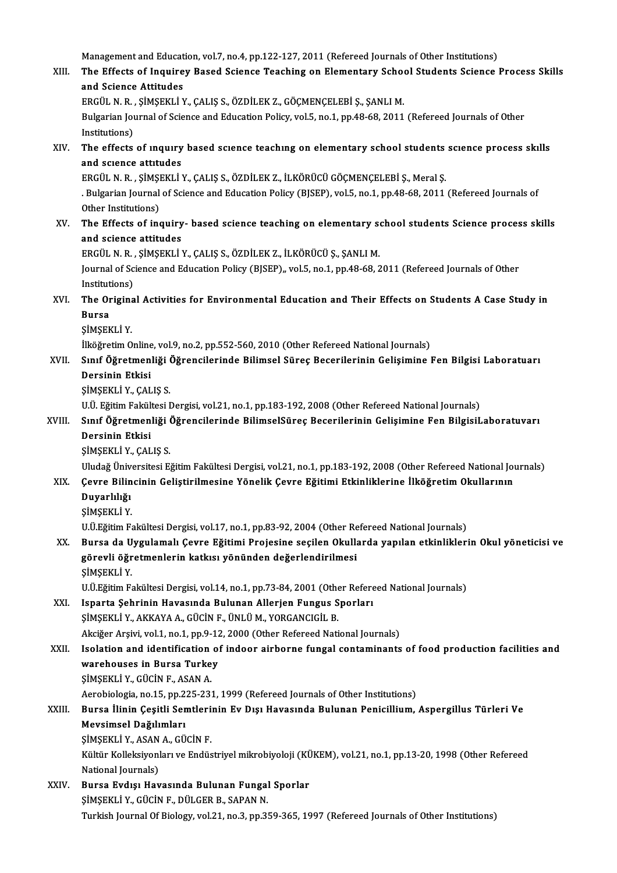Management and Education, vol.7, no.4, pp.122-127, 2011 (Refereed Journals of Other Institutions)

- Management and Education, vol.7, no.4, pp.122-127, 2011 (Refereed Journals of Other Institutions)<br>XIII. The Effects of Inquirey Based Science Teaching on Elementary School Students Science Process Skills Management and Educat<br>The Effects of Inquire<br>and Science Attitudes<br>EPCÜL N P - SIMSEKLI V The Effects of Inquirey Based Science Teaching on Elementary Scho<br>and Science Attitudes<br>ERGÜL N.R., ŞİMŞEKLİ Y., ÇALIŞ S., ÖZDİLEK Z., GÖÇMENÇELEBİ Ş., ŞANLI M.<br>Bulgarian Journal of Science and Education Poligy vol 5, no.1 and Science Attitudes<br>Bulgarian Journal of Science and Education Policy, vol.5, no.1, pp.48-68, 2011 (Refereed Journals of Other<br>Institutions) ERGÜL N. R., ŞİMŞEKLİ Y., ÇALIŞ S., ÖZDİLEK Z., GÖÇMENÇELEBİ Ş., ŞANLI M. Bulgarian Journal of Science and Education Policy, vol.5, no.1, pp.48-68, 2011 (Refereed Journals of Other<br>Institutions)<br>XIV. The effects of inquiry based science teaching on elementary school students science process skil Institutions)<br>The effects of inquiry<br>and science attitudes<br>EPCÜL N P SIMSEKLIN
- The effects of inquiry based science teaching on elementary school students<br>and science attitudes<br>ERGÜL N.R., ŞİMŞEKLİ Y., ÇALIŞ S., ÖZDİLEK Z., İLKÖRÜCÜ GÖÇMENÇELEBİ Ş., Meral Ş.<br>Pulsarian Journal of Science and Education

and science attitudes<br>ERGÜL N. R. , ŞİMŞEKLİ Y., ÇALIŞ S., ÖZDİLEK Z., İLKÖRÜCÜ GÖÇMENÇELEBİ Ş., Meral Ş.<br>. Bulgarian Journal of Science and Education Policy (BJSEP), vol.5, no.1, pp.48-68, 2011 (Refereed Journals of<br>Other ERGÜL N. R. , ŞİMŞI<br>. Bulgarian Journal<br>Other Institutions)<br>The Effects of inc Rulgarian Journal of Science and Education Policy (BJSEP), vol.5, no.1, pp.48-68, 2011 (Refereed Journals of Other Institutions)<br>XV. The Effects of inquiry- based science teaching on elementary school students Science proc

Other Institutions)<br>The Effects of inquiry<br>and science attitudes<br>EPCÜL N P. SIMSEKLIN The Effects of inquiry- based science teaching on elementary so<br>and science attitudes<br>ERGÜL N.R., ŞİMŞEKLİY., ÇALIŞ S., ÖZDİLEK Z., İLKÖRÜCÜ Ş., ŞANLI M.<br>Journal of Science and Education Boligy (BISED), vel 5, no.1, nn.49,

and science attitudes<br>ERGÜL N. R. , ŞİMŞEKLİ Y., ÇALIŞ S., ÖZDİLEK Z., İLKÖRÜCÜ Ş., ŞANLI M.<br>Journal of Science and Education Policy (BJSEP),, vol.5, no.1, pp.48-68, 2011 (Refereed Journals of Other<br>Institutions) ERGÜL N. R.<br>Journal of Sc<br>Institutions)<br>The Origine Journal of Science and Education Policy (BJSEP),, vol.5, no.1, pp.48-68, 2011 (Refereed Journals of Other<br>Institutions)<br>XVI. The Original Activities for Environmental Education and Their Effects on Students A Case Study in

# **Institut<br>The Or<br>Bursa**<br>Simser The Origina<br>Bursa<br>ŞİMŞEKLİY.<br><sup>İlköğ</sup>netim O Bursa<br>ŞİMŞEKLİ Y.<br>İlköğretim Online, vol.9, no.2, pp.552-560, 2010 (Other Refereed National Journals)<br>Sınıf Öğretmenliği Öğrengilerinde Bilimsel Süres Beserilerinin Celisimine l

ŞİMŞEKLİ Y.<br>İlköğretim Online, vol.9, no.2, pp.552-560, 2010 (Other Refereed National Journals)<br>XVII. Sınıf Öğretmenliği Öğrencilerinde Bilimsel Süreç Becerilerinin Gelişimine Fen Bilgisi Laboratuarı<br>Dersinin Etkisi İlköğretim Online<br>Sınıf <mark>Öğretmen</mark><br>Dersinin Etkisi<br>simsevi i v. CAL Dersinin Etkisi<br>ŞİMŞEKLİ Y., ÇALIŞ S.<br>U.Ü. Eğitim Fakültesi Dergisi, vol.21, no.1, pp.183-192, 2008 (Other Refereed National Journals)<br>Sınıf Öğretmenliği Öğrengilerinde BilimselSüres Beserilerinin Colisimine Fen Bilgisil

ŞİMŞEKLİY.,ÇALIŞ S.

#### ŞİMŞEKLİ Y., ÇALIŞ S.<br>U.Ü. Eğitim Fakültesi Dergisi, vol.21, no.1, pp.183-192, 2008 (Other Refereed National Journals)<br>XVIII. Sınıf Öğretmenliği Öğrencilerinde BilimselSüreç Becerilerinin Gelişimine Fen BilgisiLaboratu U.Ü. Eğitim Fakül<mark>:</mark><br>Sınıf Öğretmen<br>Dersinin Etkisi<br>simserri v. CAL Sınıf Öğretmenliği (<br>Dersinin Etkisi<br>ŞİMŞEKLİ Y., ÇALIŞ S.<br>Uludağ Üniversitesi E Dersinin Etkisi<br>ŞİMŞEKLİ Y., ÇALIŞ S.<br>Uludağ Üniversitesi Eğitim Fakültesi Dergisi, vol.21, no.1, pp.183-192, 2008 (Other Refereed National Journals)

# ŞİMŞEKLİ Y., ÇALIŞ S.<br>Uludağ Üniversitesi Eğitim Fakültesi Dergisi, vol.21, no.1, pp.183-192, 2008 (Other Refereed National Jou<br>XIX. Çevre Bilincinin Geliştirilmesine Yönelik Çevre Eğitimi Etkinliklerine İlköğretim Oku Uludağ Üniv<br>Çevre Bilin<br>Duyarlılığı<br>siмsevı i v Çevre Bili<mark>n</mark><br>Duyarlılığı<br>ŞİMŞEKLİ Y.<br>UÜF<del>ğiti</del>m Fe

- 
- 

Duyarlılığı<br>ŞİMŞEKLİ Y.<br>U.Ü.Eğitim Fakültesi Dergisi, vol.17, no.1, pp.83-92, 2004 (Other Refereed National Journals)<br>Burse de Uvsulamalı Cevre Eğitimi Broissine sesilen Okullarda vanılan etkinlikleri

#### ŞİMŞEKLİ Y.<br>U.Ü.Eğitim Fakültesi Dergisi, vol.17, no.1, pp.83-92, 2004 (Other Refereed National Journals)<br>XX. Bursa da Uygulamalı Çevre Eğitimi Projesine seçilen Okullarda yapılan etkinliklerin Okul yöneticisi ve<br>Gönev U.Ü.Eğitim Fakültesi Dergisi, vol.17, no.1, pp.83-92, 2004 (Other Re<br>Bursa da Uygulamalı Çevre Eğitimi Projesine seçilen Okulla<br>görevli öğretmenlerin katkısı yönünden değerlendirilmesi<br>siMSEVLİ V Bursa da U<br>görevli öğr<br>ŞİMŞEKLİ Y.<br>UÜFğitim E görevli öğretmenlerin katkısı yönünden değerlendirilmesi<br>ŞİMŞEKLİ Y.<br>U.Ü.Eğitim Fakültesi Dergisi, vol.14, no.1, pp.73-84, 2001 (Other Refereed National Journals)

XXI. Isparta Şehrinin Havasında Bulunan Allerjen Fungus Sporları ŞİMŞEKLİ Y., AKKAYA A., GÜCİN F., ÜNLÜ M., YORGANCIGİL B. Akciğer Arşivi, vol.1, no.1, pp.9-12, 2000 (Other Refereed National Journals)

## XXII. Isolation and identification of indoor airborne fungal contaminants of food production facilities and Akciğer Arşivi, vol.1, no.1, pp.9-12<br>Isolation and identification of<br>warehouses in Bursa Turkey<br>SiMSEKLI V. CÜCIN E. ASAN A

Isolation and identification<br>warehouses in Bursa Turke<br>ŞİMŞEKLİ Y., GÜCİN F., ASAN A.<br>Aerebielegia ne 15. np 225.223

warehouses in Bursa Turkey<br>ŞİMŞEKLİ Y., GÜCİN F., ASAN A.<br>Aerobiologia, no.15, pp.225-231, 1999 (Refereed Journals of Other Institutions)<br>Bursa İlinin Cesitli Samtlarinin Ev. Dısı Havasında Bulunan Banisillium

## ŞİMŞEKLİ Y., GÜCİN F., ASAN A.<br>Aerobiologia, no.15, pp.225-231, 1999 (Refereed Journals of Other Institutions)<br>XXIII. Bursa İlinin Çeşitli Semtlerinin Ev Dışı Havasında Bulunan Penicillium, Aspergillus Türleri Ve<br>Mayai Aerobiologia, no.15, pp.2<br>Bursa İlinin Çeşitli Ser<br>Mevsimsel Dağılımları<br>SiMSEKLİ V. ASAN A. CÜ Bursa İlinin Çeşitli Semtleri:<br>Mevsimsel Dağılımları<br>ŞİMŞEKLİ Y., ASAN A., GÜCİN F.<br>Kültür Kelleksiyenleri ve Endüs Mevsimsel Dağılımları<br>ŞİMŞEKLİ Y., ASAN A., GÜCİN F.<br>Kültür Kolleksiyonları ve Endüstriyel mikrobiyoloji (KÜKEM), vol.21, no.1, pp.13-20, 1998 (Other Refereed<br>National Journale)

ŞİMŞEKLİ Y., ASAN<br>Kültür Kolleksiyonl<br>National Journals)<br>Burse Eydiei Hei Kültür Kolleksiyonları ve Endüstriyel mikrobiyoloji (KÜ<br>National Journals)<br>XXIV. Bursa Evdışı Havasında Bulunan Fungal Sporlar<br>SARAN N

# National Journals)<br>Bursa Evdışı Havasında Bulunan Fungal Sporlar<br>ŞİMŞEKLİ Y., GÜCİN F., DÜLGER B., SAPAN N. Turkish Journal Of Biology, vol.21, no.3, pp.359-365, 1997 (Refereed Journals of Other Institutions)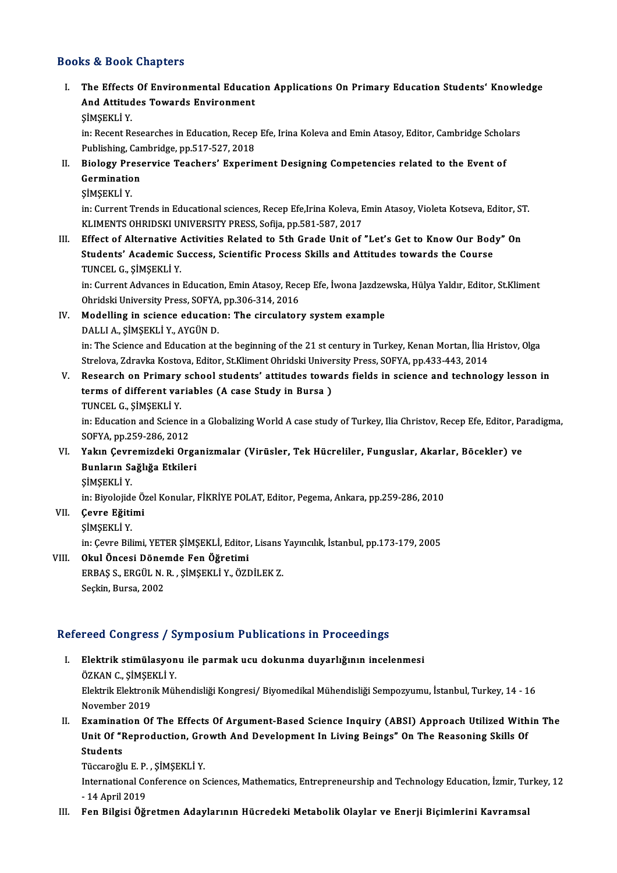#### Books&Book Chapters

ooks & Book Chapters<br>I. The Effects Of Environmental Education Applications On Primary Education Students' Knowledge<br>And Attitudes Tewards Environment and Book diapters<br>The Effects Of Environmental Educat<br>And Attitudes Towards Environment<br>SiMSEVI I V And Attitudes Towards Environment<br>ŞİMŞEKLİY.

And Attitudes Towards Environment<br>ŞİMŞEKLİ Y.<br>in: Recent Researches in Education, Recep Efe, Irina Koleva and Emin Atasoy, Editor, Cambridge Scholars<br>Publishing Cambridge np 517,527,2018 ŞİMŞEKLİ Y.<br>in: Recent Researches in Education, Recep<br>Publishing, Cambridge, pp.517-527, 2018<br>Piologu Presenvise Teashers' Experit In: Recent Researches in Education, Recep Efe, Irina Koleva and Emin Atasoy, Editor, Cambridge Schol:<br>Publishing, Cambridge, pp.517-527, 2018<br>II. Biology Preservice Teachers' Experiment Designing Competencies related to th

- Publishing, Car<br>Biology Prese<br>Germination<br>SiMSEVI i V Biology Pre<br>Germinatio<br>ŞİMŞEKLİ Y.<br>in: Current I
	-

Germination<br>ŞİMŞEKLİ Y.<br>in: Current Trends in Educational sciences, Recep Efe,Irina Koleva, Emin Atasoy, Violeta Kotseva, Editor, ST.<br>KUMENTS QURIDSKU UNIVERSITY RRESS, Sefija, pp.591,597,2017 ŞİMŞEKLİ Y.<br>in: Current Trends in Educational sciences, Recep Efe,Irina Koleva, E<br>KLIMENTS OHRIDSKI UNIVERSITY PRESS, Sofija, pp.581-587, 2017<br>Effect of Alternative Activities Belated to 5th Crade Unit of

KLIMENTS OHRIDSKI UNIVERSITY PRESS, Sofija, pp.581-587, 2017<br>III. Effect of Alternative Activities Related to 5th Grade Unit of "Let's Get to Know Our Body" On KLIMENTS OHRIDSKI UNIVERSITY PRESS, Sofija, pp.581-587, 2017<br>Effect of Alternative Activities Related to 5th Grade Unit of "Let's Get to Know Our Bod<br>Students' Academic Success, Scientific Process Skills and Attitudes towa Effect of Alternative<br>Students' Academic S<br>TUNCEL G., ŞİMŞEKLİ Y.<br>in: Gurrort Advances in Students' Academic Success, Scientific Process Skills and Attitudes towards the Course<br>TUNCEL G., ŞİMŞEKLİ Y.<br>in: Current Advances in Education, Emin Atasoy, Recep Efe, İwona Jazdzewska, Hülya Yaldır, Editor, St.Kliment<br>Ob

TUNCEL G., ŞİMŞEKLİ Y.<br>in: Current Advances in Education, Emin Atasoy, Reco<br>Ohridski University Press, SOFYA, pp.306-314, 2016<br>Modelling in sajonce education: The singulater in: Current Advances in Education, Emin Atasoy, Recep Efe, İwona Jazdzewska, Hülya Yaldır, Editor, St.Kliment<br>Ohridski University Press, SOFYA, pp.306-314, 2016<br>IV. Modelling in science education: The circulatory system ex

Ohridski University Press, SOFYA<br>Modelling in science educatio<br>DALLI A., ŞİMŞEKLİ Y., AYGÜN D. Modelling in science education: The circulatory system example<br>DALLI A., ŞİMŞEKLİ Y., AYGÜN D.<br>in: The Science and Education at the beginning of the 21 st century in Turkey, Kenan Mortan, İlia Hristov, Olga<br>Strelava Zdravk

DALLI A., ŞİMŞEKLİ Y., AYGÜN D.<br>in: The Science and Education at the beginning of the 21 st century in Turkey, Kenan Mortan, İlia I<br>Strelova, Zdravka Kostova, Editor, St.Kliment Ohridski University Press, SOFYA, pp.433-443 in: The Science and Education at the beginning of the 21 st century in Turkey, Kenan Mortan, İlia Hristov, Olga<br>Strelova, Zdravka Kostova, Editor, St.Kliment Ohridski University Press, SOFYA, pp.433-443, 2014<br>V. Research o

Strelova, Zdravka Kostova, Editor, St.Kliment Ohridski Univer<br>Research on Primary school students' attitudes towa<br>terms of different variables (A case Study in Bursa )<br>TUNCEL C SIMSEKLI V Research on Primary<br>terms of different val<br>TUNCEL G., ŞİMŞEKLİ Y.<br>in: Education ond Scions TUNCEL G., ȘİMȘEKLİ Y.<br>in: Education and Science in a Globalizing World A case study of Turkey, Ilia Christov, Recep Efe, Editor, Paradigma,

SOFYA,pp.259-286,2012 in: Education and Science in a Globalizing World A case study of Turkey, Ilia Christov, Recep Efe, Editor, Pa<br>SOFYA, pp.259-286, 2012<br>VI. Yakın Çevremizdeki Organizmalar (Virüsler, Tek Hücreliler, Funguslar, Akarlar, Böcek

### SOFYA, pp.259-286, 2012<br>Yakın Çevremizdeki Orga<br>Bunların Sağlığa Etkileri<br>simsevı i v Yakın Çevr<br>Bunların Sa<br>ŞİMŞEKLİY.<br>in Biyolojide Bunların Sağlığa Etkileri<br>ŞİMŞEKLİ Y.<br>in: Biyolojide Özel Konular, FİKRİYE POLAT, Editor, Pegema, Ankara, pp.259-286, 2010

VII Çevre Eğitimi

ŞİMŞEKLİY.

Çevre Eğitimi<br>ŞİMŞEKLİ Y.<br>in: Çevre Bilimi, YETER ŞİMŞEKLİ, Editor, Lisans Yayıncılık, İstanbul, pp.173-179, 2005<br>Okul, Önessi, Dönemde Fen Öğretimi

# SİMŞEKLİ Y.<br>in: Çevre Bilimi, YETER ŞİMŞEKLİ, Editor<br>VIII. **Okul Öncesi Dönemde Fen Öğretimi** in: Çevre Bilimi, YETER ŞİMŞEKLİ, Editor, Lisans<br>Okul Öncesi Dönemde Fen Öğretimi<br>ERBAŞ S., ERGÜL N. R. , ŞİMŞEKLİ Y., ÖZDİLEK Z.<br>Seskin, Bursa, 2002 Okul Öncesi Döneı<br>ERBAŞ S., ERGÜL N.<br>Seçkin, Bursa, 2002

# Seçkin, Bursa, 2002<br>Refereed Congress / Symposium Publications in Proceedings

- efereed Congress / Symposium Publications in Proceedings<br>I. Elektrik stimülasyonu ile parmak ucu dokunma duyarlığının incelenmesi<br>ÖZKAN C. SİMSEKLİ V Teca Göngress 7<br>Elektrik stimülasyon<br>ÖZKAN C., ŞİMŞEKLİ Y.<br>Elektrik Elektronik Mül Elektrik stimülasyonu ile parmak ucu dokunma duyarlığının incelenmesi<br>ÖZKAN C., ŞİMŞEKLİ Y.<br>Elektrik Elektronik Mühendisliği Kongresi/ Biyomedikal Mühendisliği Sempozyumu, İstanbul, Turkey, 14 - 16<br>Navambar 2019 ÖZKAN C., ŞİMŞE<br>Elektrik Elektroni<br>November 2019<br>Examination Of
- Elektrik Elektronik Mühendisliği Kongresi/ Biyomedikal Mühendisliği Sempozyumu, İstanbul, Turkey, 14 16<br>November 2019<br>II. Examination Of The Effects Of Argument-Based Science Inquiry (ABSI) Approach Utilized Within The<br>I November 2019<br>Examination Of The Effects Of Argument-Based Science Inquiry (ABSI) Approach Utilized With<br>Unit Of "Reproduction, Growth And Development In Living Beings" On The Reasoning Skills Of<br>Students Examinat<br>Unit Of "I<br>Students<br>Tüccaroğl Unit Of "Reproduction, Growth And Development In Living Beings" On The Reasoning Skills Of Students

Tüccaroğlu E.P., ŞİMŞEKLİ Y.

International Conference on Sciences, Mathematics, Entrepreneurship and Technology Education, İzmir, Turkey, 12<br>- 14 April 2019

III. Fen Bilgisi Öğretmen Adaylarının Hücredeki Metabolik Olaylar ve Enerji Biçimlerini Kavramsal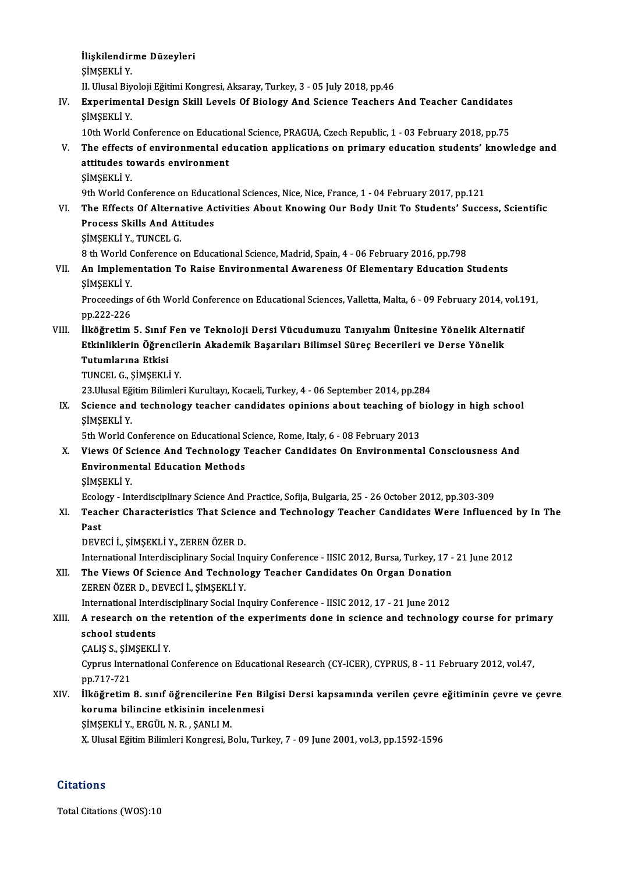İlişkilendirme Düzeyleri<br>İlişkilendirme Düzeyleri İlişkilendir<br>ŞİMŞEKLİ Y.<br>U. Ulusal Biy İlişkilendirme Düzeyleri<br>ŞİMŞEKLİ Y.<br>II. Ulusal Biyoloji Eğitimi Kongresi, Aksaray, Turkey, 3 - 05 July 2018, pp.46<br>Eynonimantal Design Skill Lavels Of Biology, And Ssienes Teashore ŞİMŞEKLİ Y.<br>II. Ulusal Biyoloji Eğitimi Kongresi, Aksaray, Turkey, 3 - 05 July 2018, pp.46<br>IV. Experimental Design Skill Levels Of Biology And Science Teachers And Teacher Candidates<br>SiMSEKLİ Y II. Ulusal Biy<br><mark>Experimen</mark><br>ŞİMŞEKLİ Y.<br>10tb Werld Experimental Design Skill Levels Of Biology And Science Teachers And Teacher Candidates<br>SIMSEKLI Y.<br>10th World Conference on Educational Science, PRAGUA, Czech Republic, 1 - 03 February 2018, pp.75<br>The effects of environme SIMSEKLI Y.<br>10th World Conference on Educational Science, PRAGUA, Czech Republic, 1 - 03 February 2018, pp.75<br>1. The effects of environmental education applications on primary education students' knowledge and<br>1. The effec 10th World Conference on Education<br>The effects of environmental ed<br>attitudes towards environment<br>siMSEVI i V The effects<br>attitudes to<br>ŞİMŞEKLİY.<br><sup>Otb World C</sup> attitudes towards environment<br>ŞİMŞEKLİ Y.<br>9th World Conference on Educational Sciences, Nice, Nice, France, 1 - 04 February 2017, pp.121<br>The Effects Of Alternative Astivities About Knowing Our Body Unit To Students' Susse SIMSEKLI Y.<br>9th World Conference on Educational Sciences, Nice, Nice, France, 1 - 04 February 2017, pp.121<br>VI. The Effects Of Alternative Activities About Knowing Our Body Unit To Students' Success, Scientific<br>Process Skil **9th World Conference on Educa<br>The Effects Of Alternative Active Schools**<br>Process Skills And Attitudes<br>SiMSEVI LY TINCEL C The Effects Of Alterna<br>Process Skills And At<br>ŞİMŞEKLİ Y., TUNCEL G.<br>8 th World Conference 4 Process Skills And Attitudes<br>ŞİMŞEKLİ Y., TUNCEL G.<br>8 th World Conference on Educational Science, Madrid, Spain, 4 - 06 February 2016, pp.798<br>An Implementation Te Baise Environmental Awareness Of Flamentary Education ( SIMSEKLI Y., TUNCEL G.<br>8 th World Conference on Educational Science, Madrid, Spain, 4 - 06 February 2016, pp.798<br>VII. An Implementation To Raise Environmental Awareness Of Elementary Education Students<br>SIMSEKLI Y. 8 th World C<br>**An Implem**<br>ŞİMŞEKLİ Y.<br>Proseedinge An Implementation To Raise Environmental Awareness Of Elementary Education Students<br>ȘIMȘEKLİ Y.<br>Proceedings of 6th World Conference on Educational Sciences, Valletta, Malta, 6 - 09 February 2014, vol.191,<br>nn <sup>222-226</sup> SİMSEKLİ Y.<br>Proceedings<br>pp.222-226<br>İlköğnetim Proceedings of 6th World Conference on Educational Sciences, Valletta, Malta, 6 - 09 February 2014, vol.1<br>pp.222-226<br>VIII. Ilköğretim 5. Sınıf Fen ve Teknoloji Dersi Vücudumuzu Tanıyalım Ünitesine Yönelik Alternatif pp.222-226<br>İlköğretim 5. Sınıf Fen ve Teknoloji Dersi Vücudumuzu Tanıyalım Ünitesine Yönelik Altern<br>Etkinliklerin Öğrencilerin Akademik Başarıları Bilimsel Süreç Becerileri ve Derse Yönelik<br>Tutumlanna Etkisi İlköğretim 5. Sınıf<br>Etkinliklerin Öğren<br>Tutumlarına Etkisi<br>TUNCEL C. SİMSEKLİ Etkinliklerin Öğrencilerin Akademik Başarıları Bilimsel Süreç Becerileri ve Derse Yönelik<br>Tutumlarına Etkisi<br>TUNCEL G., ŞİMŞEKLİ Y. <mark>Tutumlarına Etkisi</mark><br>TUNCEL G., ŞİMŞEKLİ Y.<br>23.Ulusal Eğitim Bilimleri Kurultayı, Kocaeli, Turkey, 4 - 06 September 2014, pp.284<br>Ssiense and teshnologu teasher sandidates oninions about teashing of bio TUNCEL G., ŞİMŞEKLİ Y.<br>23.Ulusal Eğitim Bilimleri Kurultayı, Kocaeli, Turkey, 4 - 06 September 2014, pp.284<br>IX. Science and technology teacher candidates opinions about teaching of biology in high school<br>SiMSEKLİ Y 23.Ulusal Eğ<br>Science and<br>ŞİMŞEKLİ Y.<br>Eth World C Science and technology teacher candidates opinions about teaching of **b**<br>SiMSEKLI Y.<br>5th World Conference on Educational Science, Rome, Italy, 6 - 08 February 2013<br>Views Of Science And Technology Teacher Candidates On Envi SIMSEKLI Y.<br>5th World Conference on Educational Science, Rome, Italy, 6 - 08 February 2013<br>X. Views Of Science And Technology Teacher Candidates On Environmental Consciousness And<br>Environmental Education Methode 5th World Conference on Educational Science, Rome, Italy, 6 - 08 February 2013<br>Views Of Science And Technology Teacher Candidates On Environmenta<br>Environmental Education Methods<br>SIMSEKLI Y. Views Of So<br>Environme<br>ŞİMŞEKLİ Y.<br>Ecelegy. Int Environmental Education Methods<br>ȘIMȘEKLI Y.<br>Ecology - Interdisciplinary Science And Practice, Sofija, Bulgaria, 25 - 26 October 2012, pp.303-309<br>Teasher Charasteristice That Science and Teahnelogy Teasher Condidates Ware I \$IM\$EKLI Y.<br>Ecology - Interdisciplinary Science And Practice, Sofija, Bulgaria, 25 - 26 October 2012, pp.303-309<br>XI. Teacher Characteristics That Science and Technology Teacher Candidates Were Influenced by In The<br>Rest Ecolo<br>Teac<br>Past<br>DEVE Teacher Characteristics That Scien<br>Past<br>DEVECİ İ., ŞİMŞEKLİ Y., ZEREN ÖZER D.<br>International Interdissiplinery Social In Past<br>DEVECİ İ., ŞİMŞEKLİ Y., ZEREN ÖZER D.<br>International Interdisciplinary Social Inquiry Conference - IISIC 2012, Bursa, Turkey, 17 - 21 June 2012<br>The Views Of Ssiense And Teshnelogy Teasher Condidates On Oxsan Denation DEVECİ İ., ŞİMŞEKLİ Y., ZEREN ÖZER D.<br>International Interdisciplinary Social Inquiry Conference - IISIC 2012, Bursa, Turkey, 17 -<br>XII. The Views Of Science And Technology Teacher Candidates On Organ Donation<br>ZEREN ÖZER International Interdisciplinary Social Inc<br>The Views Of Science And Technold<br>ZEREN ÖZER D., DEVECİ İ., ŞİMŞEKLİ Y.<br>International Interdisciplinary Social In The Views Of Science And Technology Teacher Candidates On Organ Donation<br>ZEREN ÖZER D., DEVECİ İ., ŞİMŞEKLİ Y.<br>International Interdisciplinary Social Inquiry Conference - IISIC 2012, 17 - 21 June 2012 XEREN ÖZER D., DEVECİ İ., ŞİMŞEKLİ Y.<br>International Interdisciplinary Social Inquiry Conference - IISIC 2012, 17 - 21 June 2012<br>XIII. A research on the retention of the experiments done in science and technology course International Inter<br>A research on the<br>school students<br>CALIS S. SIMSEVI A research on the l<br>school students<br>ÇALIŞ S., ŞİMŞEKLİ Y.<br>Cunnus International school students<br>ÇALIŞ S., ŞİMŞEKLİ Y.<br>Cyprus International Conference on Educational Research (CY-ICER), CYPRUS, 8 - 11 February 2012, vol.47,<br>nn 717 721 CALIS S., ŞİM<br>Cyprus Inter<br>pp.717-721<br>İlköğratim Cyprus International Conference on Educational Research (CY-ICER), CYPRUS, 8 - 11 February 2012, vol.47,<br>pp.717-721<br>XIV. İlköğretim 8. sınıf öğrencilerine Fen Bilgisi Dersi kapsamında verilen çevre eğitiminin çevre ve çevr pp.717-721<br>İlköğretim 8. sınıf öğrencilerine Fen Bi<br>koruma bilincine etkisinin incelenmesi<br>SiMSEKLİ V. ERCÜL N R. SANLLM İlköğretim 8. sınıf öğrencilerine<br>koruma bilincine etkisinin incele<br>ŞİMŞEKLİ Y., ERGÜL N. R. , ŞANLI M.<br>Y. Ulucel Eğitim Bilimleri Kongresi, B koruma bilincine etkisinin incelenmesi<br>ŞİMŞEKLİ Y., ERGÜL N. R. , ŞANLI M.<br>X. Ulusal Eğitim Bilimleri Kongresi, Bolu, Turkey, 7 - 09 June 2001, vol.3, pp.1592-1596

**Citations** 

Total Citations (WOS):10